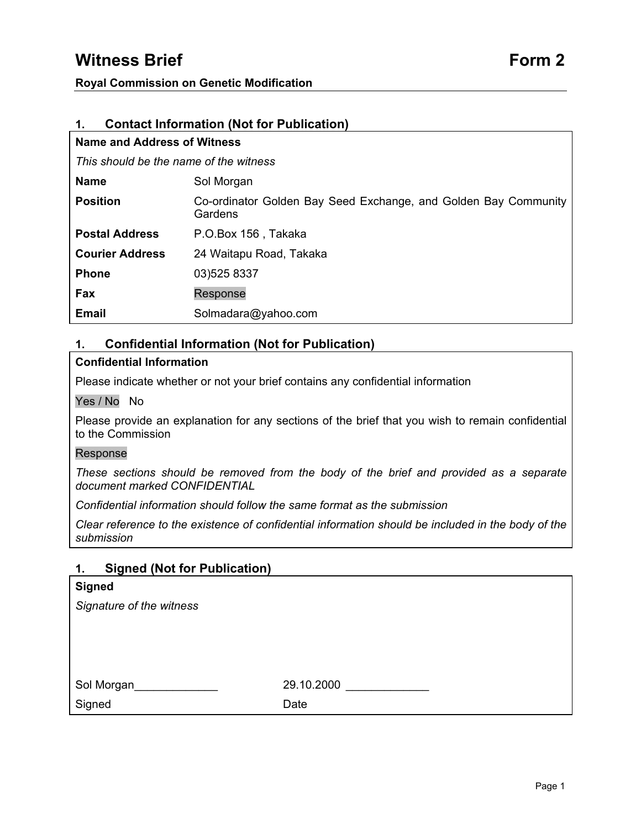# **Witness Brief Form 2 Form 2**

### **Royal Commission on Genetic Modification**

| <b>Contact Information (Not for Publication)</b><br>1. |                                                                            |  |
|--------------------------------------------------------|----------------------------------------------------------------------------|--|
| Name and Address of Witness                            |                                                                            |  |
| This should be the name of the witness                 |                                                                            |  |
| <b>Name</b>                                            | Sol Morgan                                                                 |  |
| <b>Position</b>                                        | Co-ordinator Golden Bay Seed Exchange, and Golden Bay Community<br>Gardens |  |
| <b>Postal Address</b>                                  | P.O.Box 156, Takaka                                                        |  |
| <b>Courier Address</b>                                 | 24 Waitapu Road, Takaka                                                    |  |
| <b>Phone</b>                                           | 03)525 8337                                                                |  |
| Fax                                                    | Response                                                                   |  |
| <b>Email</b>                                           | Solmadara@yahoo.com                                                        |  |

# **1. Confidential Information (Not for Publication)**

# **Confidential Information**

Please indicate whether or not your brief contains any confidential information

#### Yes / No No

Please provide an explanation for any sections of the brief that you wish to remain confidential to the Commission

#### Response

*These sections should be removed from the body of the brief and provided as a separate document marked CONFIDENTIAL* 

*Confidential information should follow the same format as the submission* 

*Clear reference to the existence of confidential information should be included in the body of the submission* 

# **1. Signed (Not for Publication)**

| <b>Signed</b>            |            |
|--------------------------|------------|
| Signature of the witness |            |
|                          |            |
|                          |            |
|                          |            |
| Sol Morgan               | 29.10.2000 |
| Signed                   | Date       |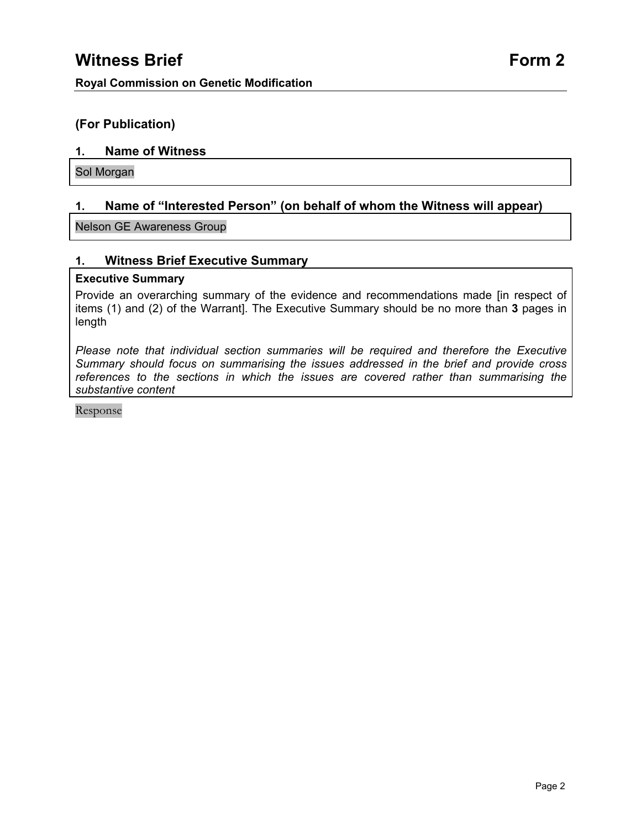# **(For Publication)**

# **1. Name of Witness**

Sol Morgan

# **1. Name of "Interested Person" (on behalf of whom the Witness will appear)**

Nelson GE Awareness Group

# **1. Witness Brief Executive Summary**

### **Executive Summary**

Provide an overarching summary of the evidence and recommendations made [in respect of items (1) and (2) of the Warrant]. The Executive Summary should be no more than **3** pages in length

*Please note that individual section summaries will be required and therefore the Executive Summary should focus on summarising the issues addressed in the brief and provide cross references to the sections in which the issues are covered rather than summarising the substantive content*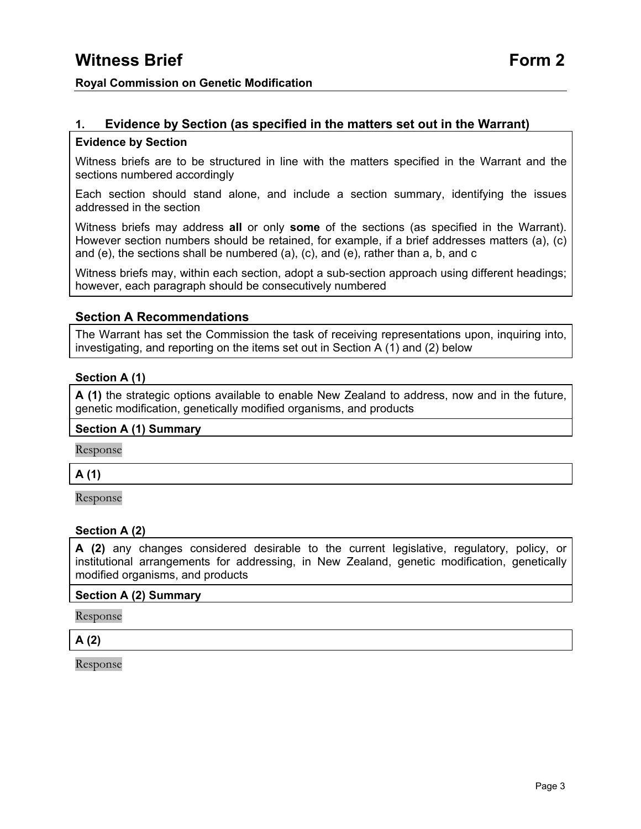# **1. Evidence by Section (as specified in the matters set out in the Warrant)**

### **Evidence by Section**

Witness briefs are to be structured in line with the matters specified in the Warrant and the sections numbered accordingly

Each section should stand alone, and include a section summary, identifying the issues addressed in the section

Witness briefs may address **all** or only **some** of the sections (as specified in the Warrant). However section numbers should be retained, for example, if a brief addresses matters (a), (c) and (e), the sections shall be numbered (a), (c), and (e), rather than a, b, and c

Witness briefs may, within each section, adopt a sub-section approach using different headings; however, each paragraph should be consecutively numbered

# **Section A Recommendations**

The Warrant has set the Commission the task of receiving representations upon, inquiring into, investigating, and reporting on the items set out in Section A (1) and (2) below

# **Section A (1)**

**A (1)** the strategic options available to enable New Zealand to address, now and in the future, genetic modification, genetically modified organisms, and products

#### **Section A (1) Summary**

Response

# **A (1)**

Response

# **Section A (2)**

**A (2)** any changes considered desirable to the current legislative, regulatory, policy, or institutional arrangements for addressing, in New Zealand, genetic modification, genetically modified organisms, and products

#### **Section A (2) Summary**

Response

# **A (2)**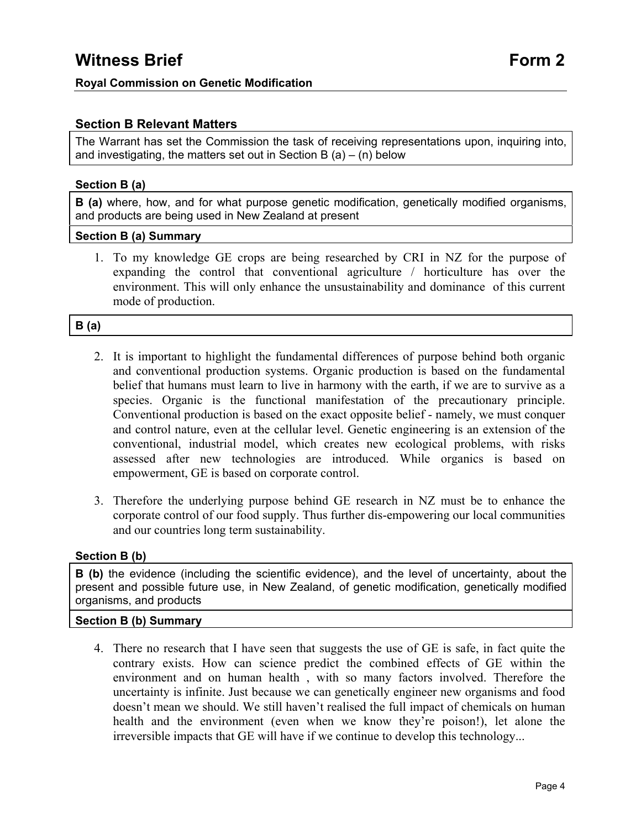# **Section B Relevant Matters**

The Warrant has set the Commission the task of receiving representations upon, inquiring into, and investigating, the matters set out in Section B  $(a) - (n)$  below

# **Section B (a)**

**B** (a) where, how, and for what purpose genetic modification, genetically modified organisms, and products are being used in New Zealand at present

### **Section B (a) Summary**

1. To my knowledge GE crops are being researched by CRI in NZ for the purpose of expanding the control that conventional agriculture / horticulture has over the environment. This will only enhance the unsustainability and dominance of this current mode of production.

# **B (a)**

- 2. It is important to highlight the fundamental differences of purpose behind both organic and conventional production systems. Organic production is based on the fundamental belief that humans must learn to live in harmony with the earth, if we are to survive as a species. Organic is the functional manifestation of the precautionary principle. Conventional production is based on the exact opposite belief - namely, we must conquer and control nature, even at the cellular level. Genetic engineering is an extension of the conventional, industrial model, which creates new ecological problems, with risks assessed after new technologies are introduced. While organics is based on empowerment, GE is based on corporate control.
- 3. Therefore the underlying purpose behind GE research in NZ must be to enhance the corporate control of our food supply. Thus further dis-empowering our local communities and our countries long term sustainability.

# **Section B (b)**

**B (b)** the evidence (including the scientific evidence), and the level of uncertainty, about the present and possible future use, in New Zealand, of genetic modification, genetically modified organisms, and products

# **Section B (b) Summary**

4. There no research that I have seen that suggests the use of GE is safe, in fact quite the contrary exists. How can science predict the combined effects of GE within the environment and on human health , with so many factors involved. Therefore the uncertainty is infinite. Just because we can genetically engineer new organisms and food doesn't mean we should. We still haven't realised the full impact of chemicals on human health and the environment (even when we know they're poison!), let alone the irreversible impacts that GE will have if we continue to develop this technology...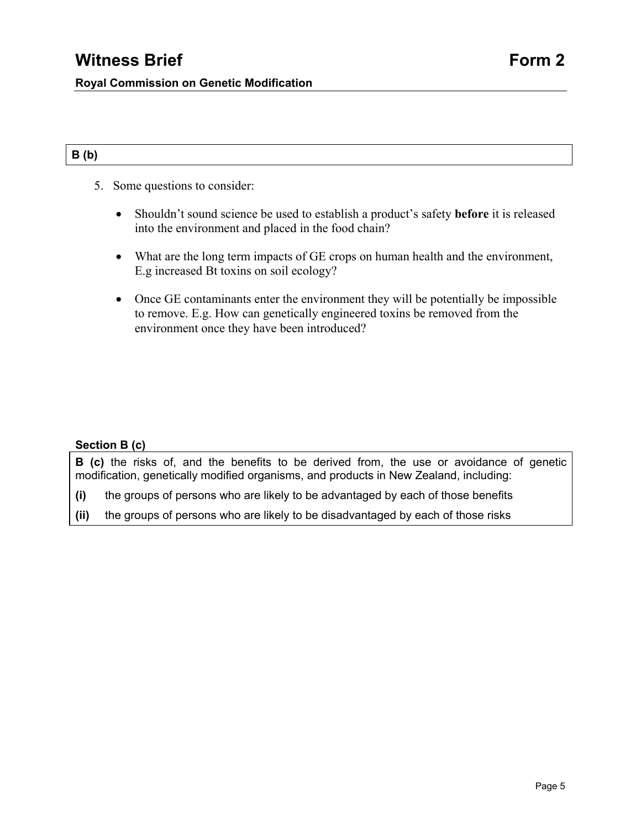# **B (b)**

- 5. Some questions to consider:
	- Shouldn't sound science be used to establish a product's safety **before** it is released into the environment and placed in the food chain?
	- What are the long term impacts of GE crops on human health and the environment, E.g increased Bt toxins on soil ecology?
	- Once GE contaminants enter the environment they will be potentially be impossible to remove. E.g. How can genetically engineered toxins be removed from the environment once they have been introduced?

# **Section B (c)**

**B (c)** the risks of, and the benefits to be derived from, the use or avoidance of genetic modification, genetically modified organisms, and products in New Zealand, including:

- **(i)** the groups of persons who are likely to be advantaged by each of those benefits
- **(ii)** the groups of persons who are likely to be disadvantaged by each of those risks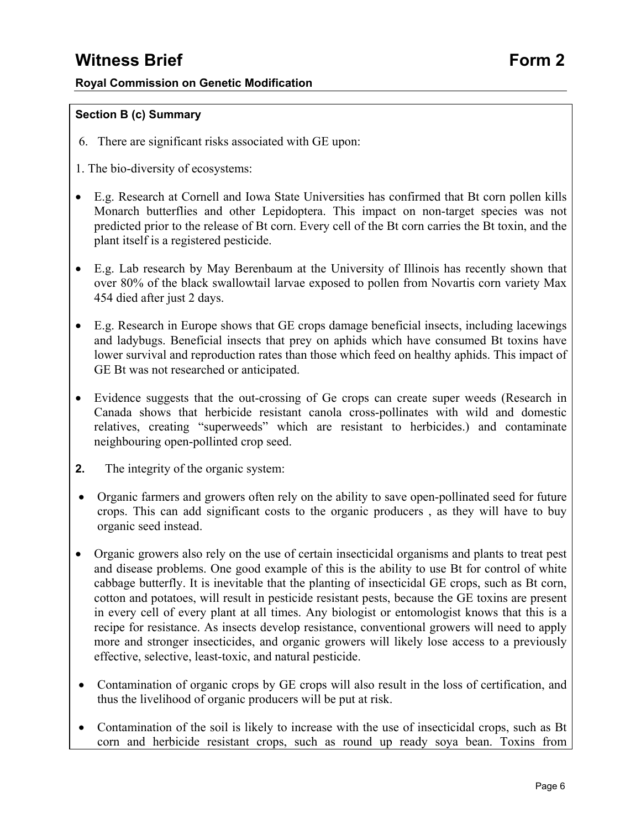# **Witness Brief Form 2**

# **Royal Commission on Genetic Modification**

# **Section B (c) Summary**

- 6. There are significant risks associated with GE upon:
- 1. The bio-diversity of ecosystems:
- E.g. Research at Cornell and Iowa State Universities has confirmed that Bt corn pollen kills Monarch butterflies and other Lepidoptera. This impact on non-target species was not predicted prior to the release of Bt corn. Every cell of the Bt corn carries the Bt toxin, and the plant itself is a registered pesticide.
- E.g. Lab research by May Berenbaum at the University of Illinois has recently shown that over 80% of the black swallowtail larvae exposed to pollen from Novartis corn variety Max 454 died after just 2 days.
- E.g. Research in Europe shows that GE crops damage beneficial insects, including lacewings and ladybugs. Beneficial insects that prey on aphids which have consumed Bt toxins have lower survival and reproduction rates than those which feed on healthy aphids. This impact of GE Bt was not researched or anticipated.
- Evidence suggests that the out-crossing of Ge crops can create super weeds (Research in Canada shows that herbicide resistant canola cross-pollinates with wild and domestic relatives, creating "superweeds" which are resistant to herbicides.) and contaminate neighbouring open-pollinted crop seed.
- **2.** The integrity of the organic system:
- Organic farmers and growers often rely on the ability to save open-pollinated seed for future crops. This can add significant costs to the organic producers , as they will have to buy organic seed instead.
- Organic growers also rely on the use of certain insecticidal organisms and plants to treat pest and disease problems. One good example of this is the ability to use Bt for control of white cabbage butterfly. It is inevitable that the planting of insecticidal GE crops, such as Bt corn, cotton and potatoes, will result in pesticide resistant pests, because the GE toxins are present in every cell of every plant at all times. Any biologist or entomologist knows that this is a recipe for resistance. As insects develop resistance, conventional growers will need to apply more and stronger insecticides, and organic growers will likely lose access to a previously effective, selective, least-toxic, and natural pesticide.
- Contamination of organic crops by GE crops will also result in the loss of certification, and thus the livelihood of organic producers will be put at risk.
- Contamination of the soil is likely to increase with the use of insecticidal crops, such as Bt corn and herbicide resistant crops, such as round up ready soya bean. Toxins from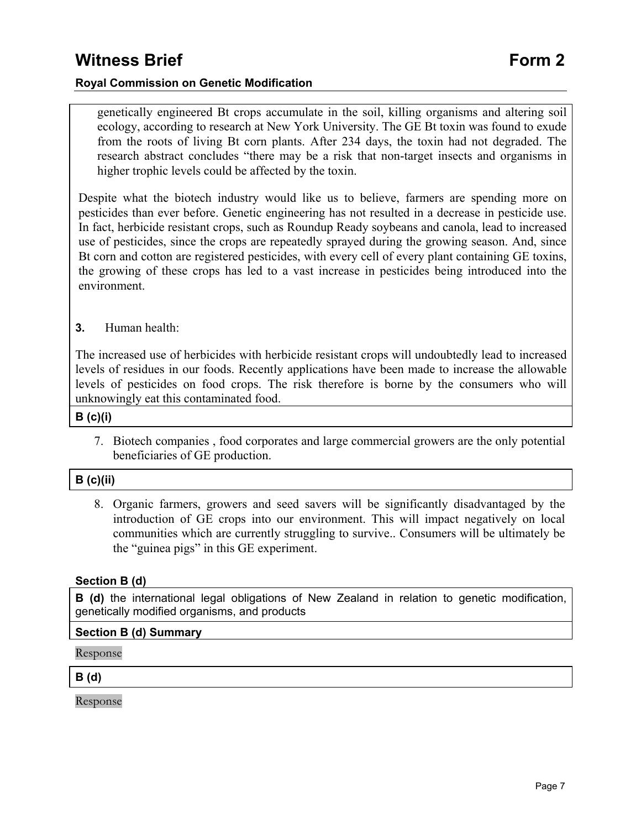genetically engineered Bt crops accumulate in the soil, killing organisms and altering soil ecology, according to research at New York University. The GE Bt toxin was found to exude from the roots of living Bt corn plants. After 234 days, the toxin had not degraded. The research abstract concludes "there may be a risk that non-target insects and organisms in higher trophic levels could be affected by the toxin.

Despite what the biotech industry would like us to believe, farmers are spending more on pesticides than ever before. Genetic engineering has not resulted in a decrease in pesticide use. In fact, herbicide resistant crops, such as Roundup Ready soybeans and canola, lead to increased use of pesticides, since the crops are repeatedly sprayed during the growing season. And, since Bt corn and cotton are registered pesticides, with every cell of every plant containing GE toxins, the growing of these crops has led to a vast increase in pesticides being introduced into the environment.

# **3.** Human health:

The increased use of herbicides with herbicide resistant crops will undoubtedly lead to increased levels of residues in our foods. Recently applications have been made to increase the allowable levels of pesticides on food crops. The risk therefore is borne by the consumers who will unknowingly eat this contaminated food.

**B (c)(i)** 

7. Biotech companies , food corporates and large commercial growers are the only potential beneficiaries of GE production.

#### **B (c)(ii)**

8. Organic farmers, growers and seed savers will be significantly disadvantaged by the introduction of GE crops into our environment. This will impact negatively on local communities which are currently struggling to survive.. Consumers will be ultimately be the "guinea pigs" in this GE experiment.

#### **Section B (d)**

**B (d)** the international legal obligations of New Zealand in relation to genetic modification, genetically modified organisms, and products

#### **Section B (d) Summary**

Response

**B (d)**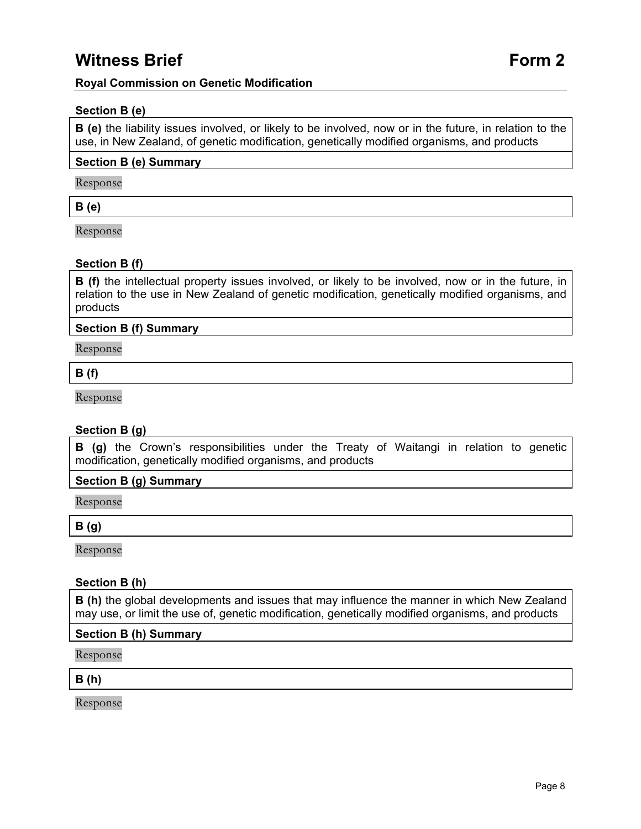# **Witness Brief Form 2**

### **Royal Commission on Genetic Modification**

### **Section B (e)**

**B (e)** the liability issues involved, or likely to be involved, now or in the future, in relation to the use, in New Zealand, of genetic modification, genetically modified organisms, and products

#### **Section B (e) Summary**

Response

#### **B (e)**

Response

#### **Section B (f)**

**B (f)** the intellectual property issues involved, or likely to be involved, now or in the future, in relation to the use in New Zealand of genetic modification, genetically modified organisms, and products

#### **Section B (f) Summary**

Response

#### **B (f)**

Response

#### **Section B (g)**

**B (g)** the Crown's responsibilities under the Treaty of Waitangi in relation to genetic modification, genetically modified organisms, and products

#### **Section B (g) Summary**

Response

#### **B (g)**

Response

#### **Section B (h)**

**B** (h) the global developments and issues that may influence the manner in which New Zealand may use, or limit the use of, genetic modification, genetically modified organisms, and products

#### **Section B (h) Summary**

Response

#### **B (h)**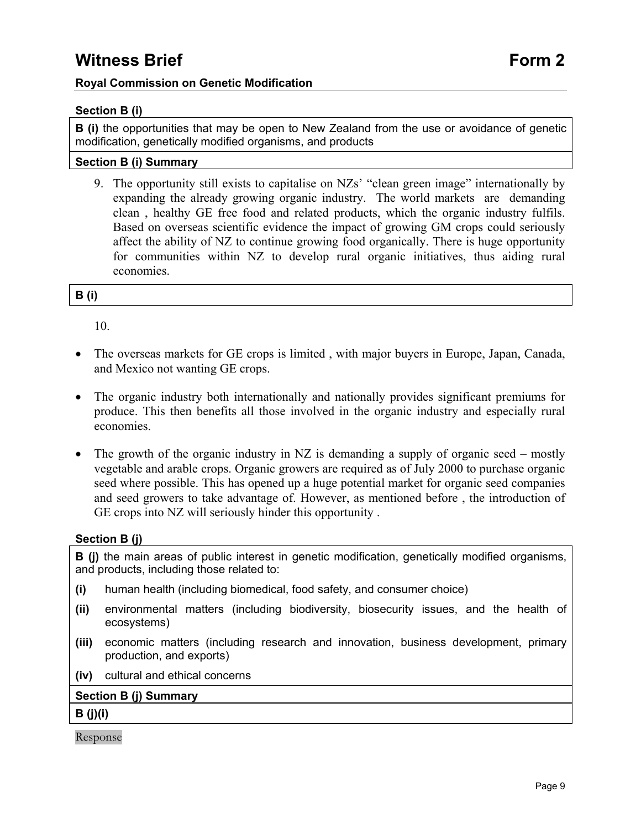# **Section B (i)**

**B** (i) the opportunities that may be open to New Zealand from the use or avoidance of genetic modification, genetically modified organisms, and products

# **Section B (i) Summary**

9. The opportunity still exists to capitalise on NZs' "clean green image" internationally by expanding the already growing organic industry. The world markets are demanding clean , healthy GE free food and related products, which the organic industry fulfils. Based on overseas scientific evidence the impact of growing GM crops could seriously affect the ability of NZ to continue growing food organically. There is huge opportunity for communities within NZ to develop rural organic initiatives, thus aiding rural economies.

# **B (i)**

10.

- The overseas markets for GE crops is limited, with major buyers in Europe, Japan, Canada, and Mexico not wanting GE crops.
- The organic industry both internationally and nationally provides significant premiums for produce. This then benefits all those involved in the organic industry and especially rural economies.
- The growth of the organic industry in NZ is demanding a supply of organic seed mostly vegetable and arable crops. Organic growers are required as of July 2000 to purchase organic seed where possible. This has opened up a huge potential market for organic seed companies and seed growers to take advantage of. However, as mentioned before , the introduction of GE crops into NZ will seriously hinder this opportunity .

# **Section B (j)**

**B** (i) the main areas of public interest in genetic modification, genetically modified organisms, and products, including those related to:

- **(i)** human health (including biomedical, food safety, and consumer choice)
- **(ii)** environmental matters (including biodiversity, biosecurity issues, and the health of ecosystems)
- **(iii)** economic matters (including research and innovation, business development, primary production, and exports)
- **(iv)** cultural and ethical concerns

# **Section B (j) Summary**

**B (j)(i)**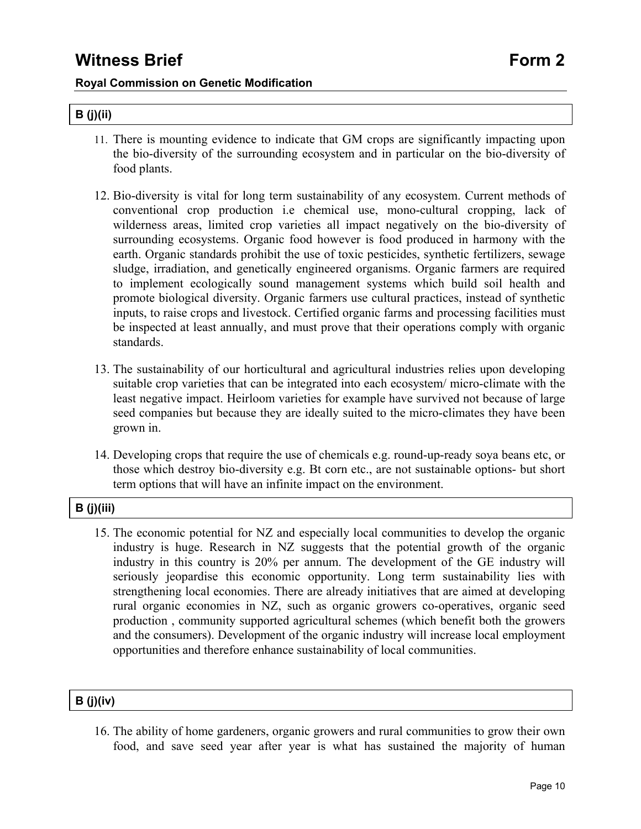# **B (j)(ii)**

- 11. There is mounting evidence to indicate that GM crops are significantly impacting upon the bio-diversity of the surrounding ecosystem and in particular on the bio-diversity of food plants.
- 12. Bio-diversity is vital for long term sustainability of any ecosystem. Current methods of conventional crop production i.e chemical use, mono-cultural cropping, lack of wilderness areas, limited crop varieties all impact negatively on the bio-diversity of surrounding ecosystems. Organic food however is food produced in harmony with the earth. Organic standards prohibit the use of toxic pesticides, synthetic fertilizers, sewage sludge, irradiation, and genetically engineered organisms. Organic farmers are required to implement ecologically sound management systems which build soil health and promote biological diversity. Organic farmers use cultural practices, instead of synthetic inputs, to raise crops and livestock. Certified organic farms and processing facilities must be inspected at least annually, and must prove that their operations comply with organic standards.
- 13. The sustainability of our horticultural and agricultural industries relies upon developing suitable crop varieties that can be integrated into each ecosystem/ micro-climate with the least negative impact. Heirloom varieties for example have survived not because of large seed companies but because they are ideally suited to the micro-climates they have been grown in.
- 14. Developing crops that require the use of chemicals e.g. round-up-ready soya beans etc, or those which destroy bio-diversity e.g. Bt corn etc., are not sustainable options- but short term options that will have an infinite impact on the environment.

# **B (j)(iii)**

15. The economic potential for NZ and especially local communities to develop the organic industry is huge. Research in NZ suggests that the potential growth of the organic industry in this country is 20% per annum. The development of the GE industry will seriously jeopardise this economic opportunity. Long term sustainability lies with strengthening local economies. There are already initiatives that are aimed at developing rural organic economies in NZ, such as organic growers co-operatives, organic seed production , community supported agricultural schemes (which benefit both the growers and the consumers). Development of the organic industry will increase local employment opportunities and therefore enhance sustainability of local communities.

# **B (j)(iv)**

16. The ability of home gardeners, organic growers and rural communities to grow their own food, and save seed year after year is what has sustained the majority of human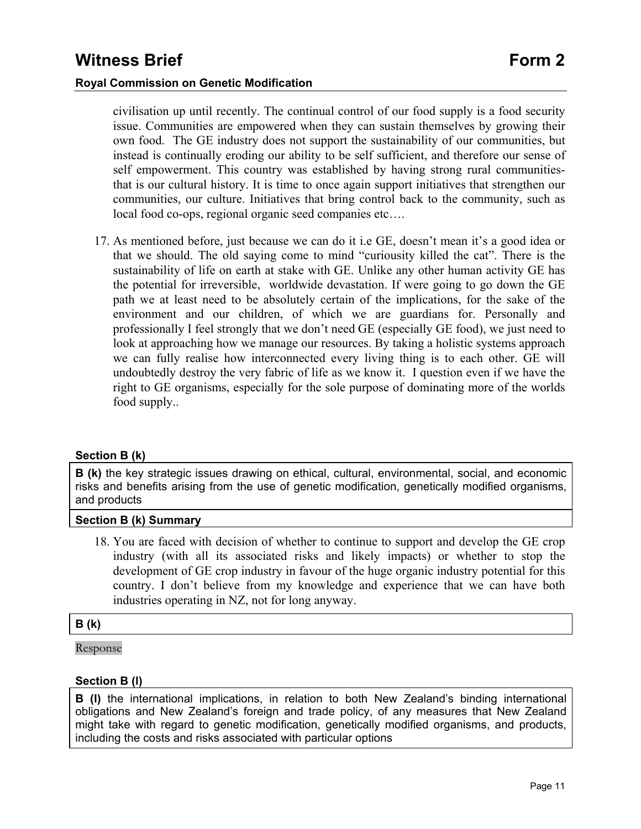civilisation up until recently. The continual control of our food supply is a food security issue. Communities are empowered when they can sustain themselves by growing their own food. The GE industry does not support the sustainability of our communities, but instead is continually eroding our ability to be self sufficient, and therefore our sense of self empowerment. This country was established by having strong rural communitiesthat is our cultural history. It is time to once again support initiatives that strengthen our communities, our culture. Initiatives that bring control back to the community, such as local food co-ops, regional organic seed companies etc….

17. As mentioned before, just because we can do it i.e GE, doesn't mean it's a good idea or that we should. The old saying come to mind "curiousity killed the cat". There is the sustainability of life on earth at stake with GE. Unlike any other human activity GE has the potential for irreversible, worldwide devastation. If were going to go down the GE path we at least need to be absolutely certain of the implications, for the sake of the environment and our children, of which we are guardians for. Personally and professionally I feel strongly that we don't need GE (especially GE food), we just need to look at approaching how we manage our resources. By taking a holistic systems approach we can fully realise how interconnected every living thing is to each other. GE will undoubtedly destroy the very fabric of life as we know it. I question even if we have the right to GE organisms, especially for the sole purpose of dominating more of the worlds food supply..

#### **Section B (k)**

**B** (k) the key strategic issues drawing on ethical, cultural, environmental, social, and economic risks and benefits arising from the use of genetic modification, genetically modified organisms, and products

#### **Section B (k) Summary**

18. You are faced with decision of whether to continue to support and develop the GE crop industry (with all its associated risks and likely impacts) or whether to stop the development of GE crop industry in favour of the huge organic industry potential for this country. I don't believe from my knowledge and experience that we can have both industries operating in NZ, not for long anyway.

#### **B (k)**

Response

# **Section B (l)**

**B (l)** the international implications, in relation to both New Zealand's binding international obligations and New Zealand's foreign and trade policy, of any measures that New Zealand might take with regard to genetic modification, genetically modified organisms, and products, including the costs and risks associated with particular options